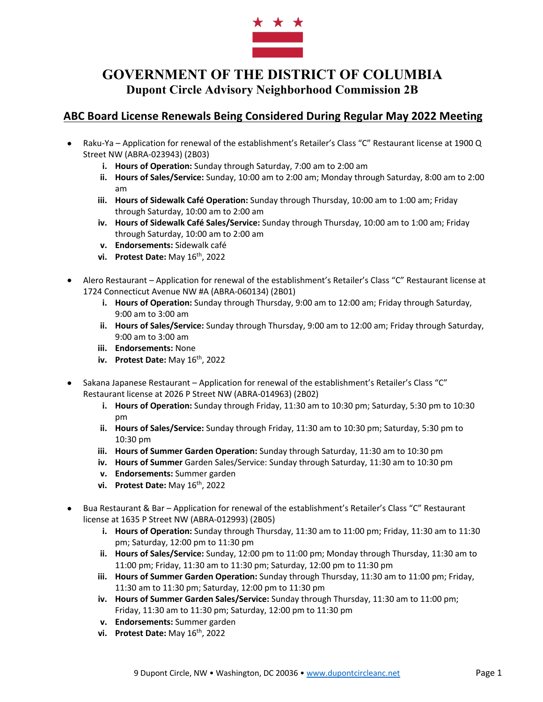

#### **ABC Board License Renewals Being Considered During Regular May 2022 Meeting**

- Raku-Ya Application for renewal of the establishment's Retailer's Class "C" Restaurant license at 1900 Q Street NW (ABRA-023943) (2B03)
	- **i. Hours of Operation:** Sunday through Saturday, 7:00 am to 2:00 am
	- **ii. Hours of Sales/Service:** Sunday, 10:00 am to 2:00 am; Monday through Saturday, 8:00 am to 2:00 am
	- **iii. Hours of Sidewalk Café Operation:** Sunday through Thursday, 10:00 am to 1:00 am; Friday through Saturday, 10:00 am to 2:00 am
	- **iv. Hours of Sidewalk Café Sales/Service:** Sunday through Thursday, 10:00 am to 1:00 am; Friday through Saturday, 10:00 am to 2:00 am
	- **v. Endorsements:** Sidewalk café
	- **vi. Protest Date:** May 16th, 2022
- Alero Restaurant Application for renewal of the establishment's Retailer's Class "C" Restaurant license at 1724 Connecticut Avenue NW #A (ABRA-060134) (2B01)
	- **i. Hours of Operation:** Sunday through Thursday, 9:00 am to 12:00 am; Friday through Saturday, 9:00 am to 3:00 am
	- **ii. Hours of Sales/Service:** Sunday through Thursday, 9:00 am to 12:00 am; Friday through Saturday, 9:00 am to 3:00 am
	- **iii. Endorsements:** None
	- **iv. Protest Date:** May 16th, 2022
- Sakana Japanese Restaurant Application for renewal of the establishment's Retailer's Class "C" Restaurant license at 2026 P Street NW (ABRA-014963) (2B02)
	- **i. Hours of Operation:** Sunday through Friday, 11:30 am to 10:30 pm; Saturday, 5:30 pm to 10:30 pm
	- **ii. Hours of Sales/Service:** Sunday through Friday, 11:30 am to 10:30 pm; Saturday, 5:30 pm to 10:30 pm
	- **iii. Hours of Summer Garden Operation:** Sunday through Saturday, 11:30 am to 10:30 pm
	- **iv. Hours of Summer** Garden Sales/Service: Sunday through Saturday, 11:30 am to 10:30 pm
	- **v. Endorsements:** Summer garden
	- **vi. Protest Date:** May  $16^{th}$ , 2022
- Bua Restaurant & Bar Application for renewal of the establishment's Retailer's Class "C" Restaurant license at 1635 P Street NW (ABRA-012993) (2B05)
	- **i. Hours of Operation:** Sunday through Thursday, 11:30 am to 11:00 pm; Friday, 11:30 am to 11:30 pm; Saturday, 12:00 pm to 11:30 pm
	- **ii. Hours of Sales/Service:** Sunday, 12:00 pm to 11:00 pm; Monday through Thursday, 11:30 am to 11:00 pm; Friday, 11:30 am to 11:30 pm; Saturday, 12:00 pm to 11:30 pm
	- **iii. Hours of Summer Garden Operation:** Sunday through Thursday, 11:30 am to 11:00 pm; Friday, 11:30 am to 11:30 pm; Saturday, 12:00 pm to 11:30 pm
	- **iv. Hours of Summer Garden Sales/Service:** Sunday through Thursday, 11:30 am to 11:00 pm; Friday, 11:30 am to 11:30 pm; Saturday, 12:00 pm to 11:30 pm
	- **v. Endorsements:** Summer garden
	- **vi. Protest Date:** May 16th, 2022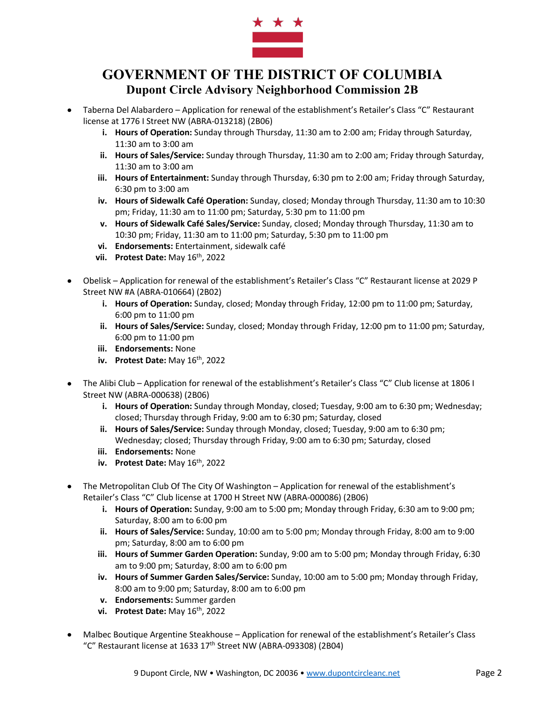

- Taberna Del Alabardero Application for renewal of the establishment's Retailer's Class "C" Restaurant license at 1776 I Street NW (ABRA-013218) (2B06)
	- **i. Hours of Operation:** Sunday through Thursday, 11:30 am to 2:00 am; Friday through Saturday, 11:30 am to 3:00 am
	- **ii. Hours of Sales/Service:** Sunday through Thursday, 11:30 am to 2:00 am; Friday through Saturday, 11:30 am to 3:00 am
	- **iii. Hours of Entertainment:** Sunday through Thursday, 6:30 pm to 2:00 am; Friday through Saturday, 6:30 pm to 3:00 am
	- **iv. Hours of Sidewalk Café Operation:** Sunday, closed; Monday through Thursday, 11:30 am to 10:30 pm; Friday, 11:30 am to 11:00 pm; Saturday, 5:30 pm to 11:00 pm
	- **v. Hours of Sidewalk Café Sales/Service:** Sunday, closed; Monday through Thursday, 11:30 am to 10:30 pm; Friday, 11:30 am to 11:00 pm; Saturday, 5:30 pm to 11:00 pm
	- **vi. Endorsements:** Entertainment, sidewalk café
	- **vii. Protest Date:** May  $16^{th}$ , 2022
- Obelisk Application for renewal of the establishment's Retailer's Class "C" Restaurant license at 2029 P Street NW #A (ABRA-010664) (2B02)
	- **i. Hours of Operation:** Sunday, closed; Monday through Friday, 12:00 pm to 11:00 pm; Saturday, 6:00 pm to 11:00 pm
	- **ii. Hours of Sales/Service:** Sunday, closed; Monday through Friday, 12:00 pm to 11:00 pm; Saturday, 6:00 pm to 11:00 pm
	- **iii. Endorsements:** None
	- **iv. Protest Date:** May  $16^{th}$ , 2022
- The Alibi Club Application for renewal of the establishment's Retailer's Class "C" Club license at 1806 I Street NW (ABRA-000638) (2B06)
	- **i. Hours of Operation:** Sunday through Monday, closed; Tuesday, 9:00 am to 6:30 pm; Wednesday; closed; Thursday through Friday, 9:00 am to 6:30 pm; Saturday, closed
	- **ii. Hours of Sales/Service:** Sunday through Monday, closed; Tuesday, 9:00 am to 6:30 pm; Wednesday; closed; Thursday through Friday, 9:00 am to 6:30 pm; Saturday, closed
	- **iii. Endorsements:** None
	- **iv. Protest Date:** May 16th, 2022
- The Metropolitan Club Of The City Of Washington Application for renewal of the establishment's Retailer's Class "C" Club license at 1700 H Street NW (ABRA-000086) (2B06)
	- **i. Hours of Operation:** Sunday, 9:00 am to 5:00 pm; Monday through Friday, 6:30 am to 9:00 pm; Saturday, 8:00 am to 6:00 pm
	- **ii. Hours of Sales/Service:** Sunday, 10:00 am to 5:00 pm; Monday through Friday, 8:00 am to 9:00 pm; Saturday, 8:00 am to 6:00 pm
	- **iii. Hours of Summer Garden Operation:** Sunday, 9:00 am to 5:00 pm; Monday through Friday, 6:30 am to 9:00 pm; Saturday, 8:00 am to 6:00 pm
	- **iv. Hours of Summer Garden Sales/Service:** Sunday, 10:00 am to 5:00 pm; Monday through Friday, 8:00 am to 9:00 pm; Saturday, 8:00 am to 6:00 pm
	- **v. Endorsements:** Summer garden
	- **vi. Protest Date:** May 16th, 2022
- Malbec Boutique Argentine Steakhouse Application for renewal of the establishment's Retailer's Class "C" Restaurant license at 1633 17th Street NW (ABRA-093308) (2B04)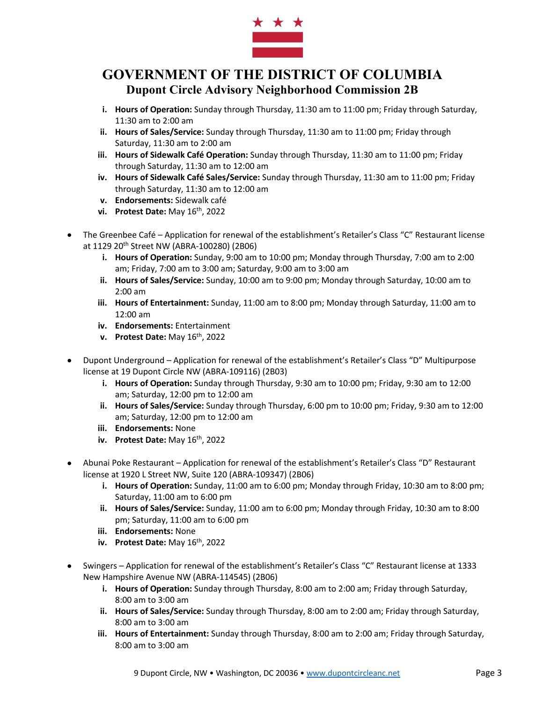

- **i. Hours of Operation:** Sunday through Thursday, 11:30 am to 11:00 pm; Friday through Saturday, 11:30 am to 2:00 am
- **ii. Hours of Sales/Service:** Sunday through Thursday, 11:30 am to 11:00 pm; Friday through Saturday, 11:30 am to 2:00 am
- **iii. Hours of Sidewalk Café Operation:** Sunday through Thursday, 11:30 am to 11:00 pm; Friday through Saturday, 11:30 am to 12:00 am
- **iv. Hours of Sidewalk Café Sales/Service:** Sunday through Thursday, 11:30 am to 11:00 pm; Friday through Saturday, 11:30 am to 12:00 am
- **v. Endorsements:** Sidewalk café
- **vi. Protest Date:** May 16th, 2022
- The Greenbee Café Application for renewal of the establishment's Retailer's Class "C" Restaurant license at 1129 20th Street NW (ABRA-100280) (2B06)
	- **i. Hours of Operation:** Sunday, 9:00 am to 10:00 pm; Monday through Thursday, 7:00 am to 2:00 am; Friday, 7:00 am to 3:00 am; Saturday, 9:00 am to 3:00 am
	- **ii. Hours of Sales/Service:** Sunday, 10:00 am to 9:00 pm; Monday through Saturday, 10:00 am to 2:00 am
	- **iii. Hours of Entertainment:** Sunday, 11:00 am to 8:00 pm; Monday through Saturday, 11:00 am to 12:00 am
	- **iv. Endorsements:** Entertainment
	- **v. Protest Date:** May 16th, 2022
- Dupont Underground Application for renewal of the establishment's Retailer's Class "D" Multipurpose license at 19 Dupont Circle NW (ABRA-109116) (2B03)
	- **i. Hours of Operation:** Sunday through Thursday, 9:30 am to 10:00 pm; Friday, 9:30 am to 12:00 am; Saturday, 12:00 pm to 12:00 am
	- **ii. Hours of Sales/Service:** Sunday through Thursday, 6:00 pm to 10:00 pm; Friday, 9:30 am to 12:00 am; Saturday, 12:00 pm to 12:00 am
	- **iii. Endorsements:** None
	- **iv. Protest Date:** May 16th, 2022
- Abunai Poke Restaurant Application for renewal of the establishment's Retailer's Class "D" Restaurant license at 1920 L Street NW, Suite 120 (ABRA-109347) (2B06)
	- **i. Hours of Operation:** Sunday, 11:00 am to 6:00 pm; Monday through Friday, 10:30 am to 8:00 pm; Saturday, 11:00 am to 6:00 pm
	- **ii. Hours of Sales/Service:** Sunday, 11:00 am to 6:00 pm; Monday through Friday, 10:30 am to 8:00 pm; Saturday, 11:00 am to 6:00 pm
	- **iii. Endorsements:** None
	- **iv. Protest Date:** May  $16^{th}$ , 2022
- Swingers Application for renewal of the establishment's Retailer's Class "C" Restaurant license at 1333 New Hampshire Avenue NW (ABRA-114545) (2B06)
	- **i. Hours of Operation:** Sunday through Thursday, 8:00 am to 2:00 am; Friday through Saturday, 8:00 am to 3:00 am
	- **ii. Hours of Sales/Service:** Sunday through Thursday, 8:00 am to 2:00 am; Friday through Saturday, 8:00 am to 3:00 am
	- **iii. Hours of Entertainment:** Sunday through Thursday, 8:00 am to 2:00 am; Friday through Saturday, 8:00 am to 3:00 am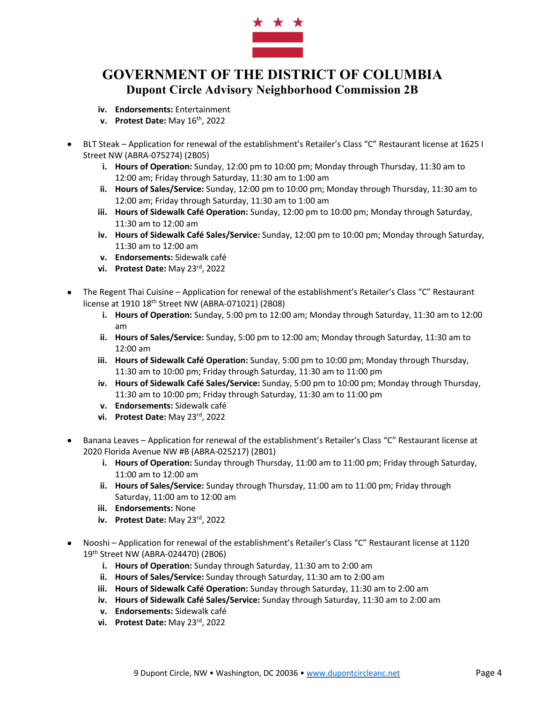

- **iv. Endorsements:** Entertainment
- **v. Protest Date:** May 16th, 2022
- BLT Steak Application for renewal of the establishment's Retailer's Class "C" Restaurant license at 1625 I Street NW (ABRA-075274) (2B05)
	- **i. Hours of Operation:** Sunday, 12:00 pm to 10:00 pm; Monday through Thursday, 11:30 am to 12:00 am; Friday through Saturday, 11:30 am to 1:00 am
	- **ii. Hours of Sales/Service:** Sunday, 12:00 pm to 10:00 pm; Monday through Thursday, 11:30 am to 12:00 am; Friday through Saturday, 11:30 am to 1:00 am
	- **iii. Hours of Sidewalk Café Operation:** Sunday, 12:00 pm to 10:00 pm; Monday through Saturday, 11:30 am to 12:00 am
	- **iv. Hours of Sidewalk Café Sales/Service:** Sunday, 12:00 pm to 10:00 pm; Monday through Saturday, 11:30 am to 12:00 am
	- **v. Endorsements:** Sidewalk café
	- **vi. Protest Date:** May 23rd, 2022
- The Regent Thai Cuisine Application for renewal of the establishment's Retailer's Class "C" Restaurant license at 1910 18th Street NW (ABRA-071021) (2B08)
	- **i. Hours of Operation:** Sunday, 5:00 pm to 12:00 am; Monday through Saturday, 11:30 am to 12:00 am
	- **ii. Hours of Sales/Service:** Sunday, 5:00 pm to 12:00 am; Monday through Saturday, 11:30 am to 12:00 am
	- **iii. Hours of Sidewalk Café Operation:** Sunday, 5:00 pm to 10:00 pm; Monday through Thursday, 11:30 am to 10:00 pm; Friday through Saturday, 11:30 am to 11:00 pm
	- **iv. Hours of Sidewalk Café Sales/Service:** Sunday, 5:00 pm to 10:00 pm; Monday through Thursday, 11:30 am to 10:00 pm; Friday through Saturday, 11:30 am to 11:00 pm
	- **v. Endorsements:** Sidewalk café
	- **vi. Protest Date:** May 23rd, 2022
- Banana Leaves Application for renewal of the establishment's Retailer's Class "C" Restaurant license at 2020 Florida Avenue NW #B (ABRA-025217) (2B01)
	- **i. Hours of Operation:** Sunday through Thursday, 11:00 am to 11:00 pm; Friday through Saturday, 11:00 am to 12:00 am
	- **ii. Hours of Sales/Service:** Sunday through Thursday, 11:00 am to 11:00 pm; Friday through Saturday, 11:00 am to 12:00 am
	- **iii. Endorsements:** None
	- **iv. Protest Date:** May 23rd, 2022
- Nooshi Application for renewal of the establishment's Retailer's Class "C" Restaurant license at 1120 19th Street NW (ABRA-024470) (2B06)
	- **i. Hours of Operation:** Sunday through Saturday, 11:30 am to 2:00 am
	- **ii. Hours of Sales/Service:** Sunday through Saturday, 11:30 am to 2:00 am
	- **iii. Hours of Sidewalk Café Operation:** Sunday through Saturday, 11:30 am to 2:00 am
	- **iv. Hours of Sidewalk Café Sales/Service:** Sunday through Saturday, 11:30 am to 2:00 am
	- **v. Endorsements:** Sidewalk café
	- **vi. Protest Date:** May 23rd, 2022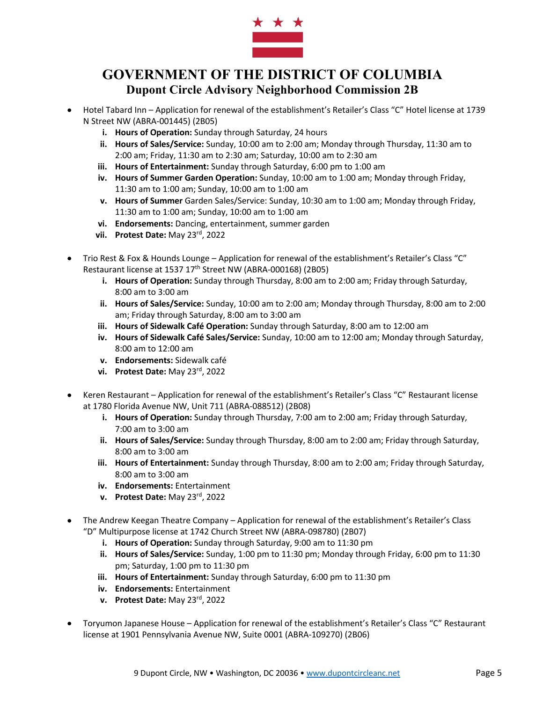

- Hotel Tabard Inn Application for renewal of the establishment's Retailer's Class "C" Hotel license at 1739 N Street NW (ABRA-001445) (2B05)
	- **i. Hours of Operation:** Sunday through Saturday, 24 hours
	- **ii. Hours of Sales/Service:** Sunday, 10:00 am to 2:00 am; Monday through Thursday, 11:30 am to 2:00 am; Friday, 11:30 am to 2:30 am; Saturday, 10:00 am to 2:30 am
	- **iii. Hours of Entertainment:** Sunday through Saturday, 6:00 pm to 1:00 am
	- **iv. Hours of Summer Garden Operation:** Sunday, 10:00 am to 1:00 am; Monday through Friday, 11:30 am to 1:00 am; Sunday, 10:00 am to 1:00 am
	- **v. Hours of Summer** Garden Sales/Service: Sunday, 10:30 am to 1:00 am; Monday through Friday, 11:30 am to 1:00 am; Sunday, 10:00 am to 1:00 am
	- **vi. Endorsements:** Dancing, entertainment, summer garden
	- **vii. Protest Date:** May 23rd, 2022
- Trio Rest & Fox & Hounds Lounge Application for renewal of the establishment's Retailer's Class "C" Restaurant license at 1537 17<sup>th</sup> Street NW (ABRA-000168) (2B05)
	- **i. Hours of Operation:** Sunday through Thursday, 8:00 am to 2:00 am; Friday through Saturday, 8:00 am to 3:00 am
	- **ii. Hours of Sales/Service:** Sunday, 10:00 am to 2:00 am; Monday through Thursday, 8:00 am to 2:00 am; Friday through Saturday, 8:00 am to 3:00 am
	- **iii. Hours of Sidewalk Café Operation:** Sunday through Saturday, 8:00 am to 12:00 am
	- **iv. Hours of Sidewalk Café Sales/Service:** Sunday, 10:00 am to 12:00 am; Monday through Saturday, 8:00 am to 12:00 am
	- **v. Endorsements:** Sidewalk café
	- **vi. Protest Date:** May 23rd, 2022
- Keren Restaurant Application for renewal of the establishment's Retailer's Class "C" Restaurant license at 1780 Florida Avenue NW, Unit 711 (ABRA-088512) (2B08)
	- **i. Hours of Operation:** Sunday through Thursday, 7:00 am to 2:00 am; Friday through Saturday, 7:00 am to 3:00 am
	- **ii. Hours of Sales/Service:** Sunday through Thursday, 8:00 am to 2:00 am; Friday through Saturday, 8:00 am to 3:00 am
	- **iii. Hours of Entertainment:** Sunday through Thursday, 8:00 am to 2:00 am; Friday through Saturday, 8:00 am to 3:00 am
	- **iv. Endorsements:** Entertainment
	- **v. Protest Date:** May 23rd, 2022
- The Andrew Keegan Theatre Company Application for renewal of the establishment's Retailer's Class "D" Multipurpose license at 1742 Church Street NW (ABRA-098780) (2B07)
	- **i. Hours of Operation:** Sunday through Saturday, 9:00 am to 11:30 pm
	- **ii. Hours of Sales/Service:** Sunday, 1:00 pm to 11:30 pm; Monday through Friday, 6:00 pm to 11:30 pm; Saturday, 1:00 pm to 11:30 pm
	- **iii. Hours of Entertainment:** Sunday through Saturday, 6:00 pm to 11:30 pm
	- **iv. Endorsements:** Entertainment
	- **v. Protest Date:** May 23rd, 2022
- Toryumon Japanese House Application for renewal of the establishment's Retailer's Class "C" Restaurant license at 1901 Pennsylvania Avenue NW, Suite 0001 (ABRA-109270) (2B06)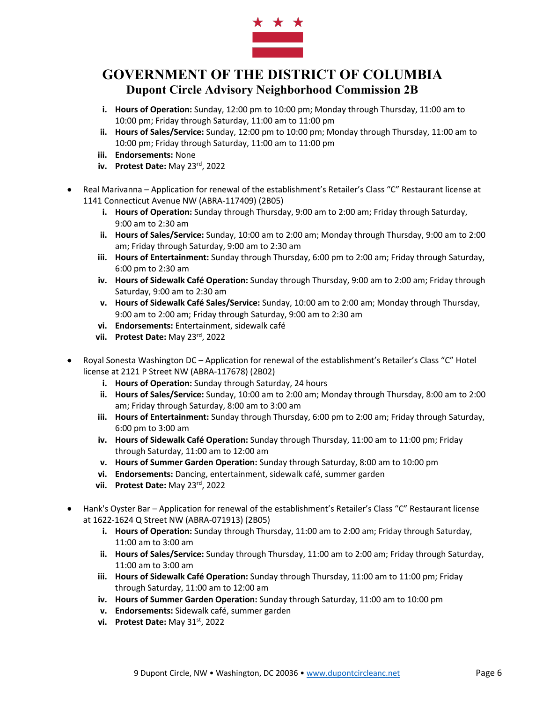

- **i. Hours of Operation:** Sunday, 12:00 pm to 10:00 pm; Monday through Thursday, 11:00 am to 10:00 pm; Friday through Saturday, 11:00 am to 11:00 pm
- **ii. Hours of Sales/Service:** Sunday, 12:00 pm to 10:00 pm; Monday through Thursday, 11:00 am to 10:00 pm; Friday through Saturday, 11:00 am to 11:00 pm
- **iii. Endorsements:** None
- **iv. Protest Date:** May 23rd, 2022
- Real Marivanna Application for renewal of the establishment's Retailer's Class "C" Restaurant license at 1141 Connecticut Avenue NW (ABRA-117409) (2B05)
	- **i. Hours of Operation:** Sunday through Thursday, 9:00 am to 2:00 am; Friday through Saturday, 9:00 am to 2:30 am
	- **ii. Hours of Sales/Service:** Sunday, 10:00 am to 2:00 am; Monday through Thursday, 9:00 am to 2:00 am; Friday through Saturday, 9:00 am to 2:30 am
	- **iii. Hours of Entertainment:** Sunday through Thursday, 6:00 pm to 2:00 am; Friday through Saturday, 6:00 pm to 2:30 am
	- **iv. Hours of Sidewalk Café Operation:** Sunday through Thursday, 9:00 am to 2:00 am; Friday through Saturday, 9:00 am to 2:30 am
	- **v. Hours of Sidewalk Café Sales/Service:** Sunday, 10:00 am to 2:00 am; Monday through Thursday, 9:00 am to 2:00 am; Friday through Saturday, 9:00 am to 2:30 am
	- **vi. Endorsements:** Entertainment, sidewalk café
	- **vii. Protest Date:** May 23rd, 2022
- Royal Sonesta Washington DC Application for renewal of the establishment's Retailer's Class "C" Hotel license at 2121 P Street NW (ABRA-117678) (2B02)
	- **i. Hours of Operation:** Sunday through Saturday, 24 hours
	- **ii. Hours of Sales/Service:** Sunday, 10:00 am to 2:00 am; Monday through Thursday, 8:00 am to 2:00 am; Friday through Saturday, 8:00 am to 3:00 am
	- **iii. Hours of Entertainment:** Sunday through Thursday, 6:00 pm to 2:00 am; Friday through Saturday, 6:00 pm to 3:00 am
	- **iv. Hours of Sidewalk Café Operation:** Sunday through Thursday, 11:00 am to 11:00 pm; Friday through Saturday, 11:00 am to 12:00 am
	- **v. Hours of Summer Garden Operation:** Sunday through Saturday, 8:00 am to 10:00 pm
	- **vi. Endorsements:** Dancing, entertainment, sidewalk café, summer garden
	- **vii. Protest Date:** May 23rd, 2022
- Hank's Oyster Bar Application for renewal of the establishment's Retailer's Class "C" Restaurant license at 1622-1624 Q Street NW (ABRA-071913) (2B05)
	- **i. Hours of Operation:** Sunday through Thursday, 11:00 am to 2:00 am; Friday through Saturday, 11:00 am to 3:00 am
	- **ii. Hours of Sales/Service:** Sunday through Thursday, 11:00 am to 2:00 am; Friday through Saturday, 11:00 am to 3:00 am
	- **iii. Hours of Sidewalk Café Operation:** Sunday through Thursday, 11:00 am to 11:00 pm; Friday through Saturday, 11:00 am to 12:00 am
	- **iv. Hours of Summer Garden Operation:** Sunday through Saturday, 11:00 am to 10:00 pm
	- **v. Endorsements:** Sidewalk café, summer garden
	- **vi. Protest Date:** May 31st, 2022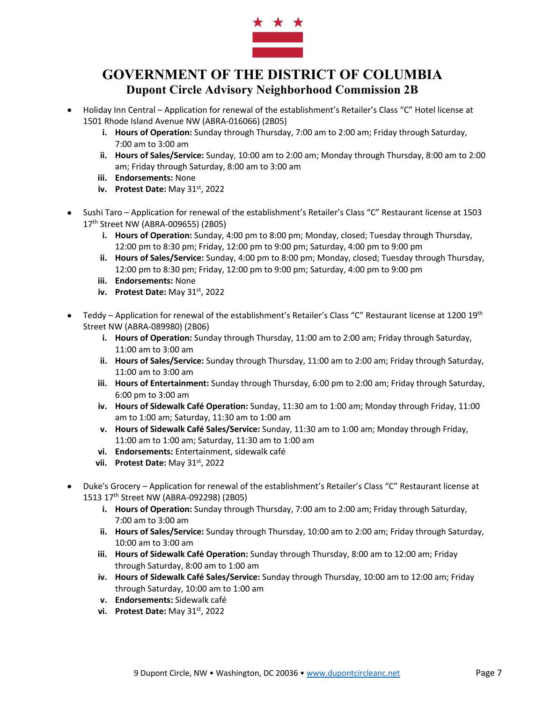

- Holiday Inn Central Application for renewal of the establishment's Retailer's Class "C" Hotel license at 1501 Rhode Island Avenue NW (ABRA-016066) (2B05)
	- **i. Hours of Operation:** Sunday through Thursday, 7:00 am to 2:00 am; Friday through Saturday, 7:00 am to 3:00 am
	- **ii. Hours of Sales/Service:** Sunday, 10:00 am to 2:00 am; Monday through Thursday, 8:00 am to 2:00 am; Friday through Saturday, 8:00 am to 3:00 am
	- **iii. Endorsements:** None
	- **iv. Protest Date:** May 31<sup>st</sup>, 2022
- Sushi Taro Application for renewal of the establishment's Retailer's Class "C" Restaurant license at 1503 17th Street NW (ABRA-009655) (2B05)
	- **i. Hours of Operation:** Sunday, 4:00 pm to 8:00 pm; Monday, closed; Tuesday through Thursday, 12:00 pm to 8:30 pm; Friday, 12:00 pm to 9:00 pm; Saturday, 4:00 pm to 9:00 pm
	- **ii. Hours of Sales/Service:** Sunday, 4:00 pm to 8:00 pm; Monday, closed; Tuesday through Thursday, 12:00 pm to 8:30 pm; Friday, 12:00 pm to 9:00 pm; Saturday, 4:00 pm to 9:00 pm
	- **iii. Endorsements:** None
	- **iv. Protest Date:** May 31<sup>st</sup>, 2022
- Teddy Application for renewal of the establishment's Retailer's Class "C" Restaurant license at 1200 19<sup>th</sup> Street NW (ABRA-089980) (2B06)
	- **i. Hours of Operation:** Sunday through Thursday, 11:00 am to 2:00 am; Friday through Saturday, 11:00 am to 3:00 am
	- **ii. Hours of Sales/Service:** Sunday through Thursday, 11:00 am to 2:00 am; Friday through Saturday, 11:00 am to 3:00 am
	- **iii. Hours of Entertainment:** Sunday through Thursday, 6:00 pm to 2:00 am; Friday through Saturday, 6:00 pm to 3:00 am
	- **iv. Hours of Sidewalk Café Operation:** Sunday, 11:30 am to 1:00 am; Monday through Friday, 11:00 am to 1:00 am; Saturday, 11:30 am to 1:00 am
	- **v. Hours of Sidewalk Café Sales/Service:** Sunday, 11:30 am to 1:00 am; Monday through Friday, 11:00 am to 1:00 am; Saturday, 11:30 am to 1:00 am
	- **vi. Endorsements:** Entertainment, sidewalk café
	- vii. Protest Date: May 31<sup>st</sup>, 2022
- Duke's Grocery Application for renewal of the establishment's Retailer's Class "C" Restaurant license at 1513 17th Street NW (ABRA-092298) (2B05)
	- **i. Hours of Operation:** Sunday through Thursday, 7:00 am to 2:00 am; Friday through Saturday, 7:00 am to 3:00 am
	- **ii. Hours of Sales/Service:** Sunday through Thursday, 10:00 am to 2:00 am; Friday through Saturday, 10:00 am to 3:00 am
	- **iii. Hours of Sidewalk Café Operation:** Sunday through Thursday, 8:00 am to 12:00 am; Friday through Saturday, 8:00 am to 1:00 am
	- **iv. Hours of Sidewalk Café Sales/Service:** Sunday through Thursday, 10:00 am to 12:00 am; Friday through Saturday, 10:00 am to 1:00 am
	- **v. Endorsements:** Sidewalk café
	- vi. Protest Date: May 31<sup>st</sup>, 2022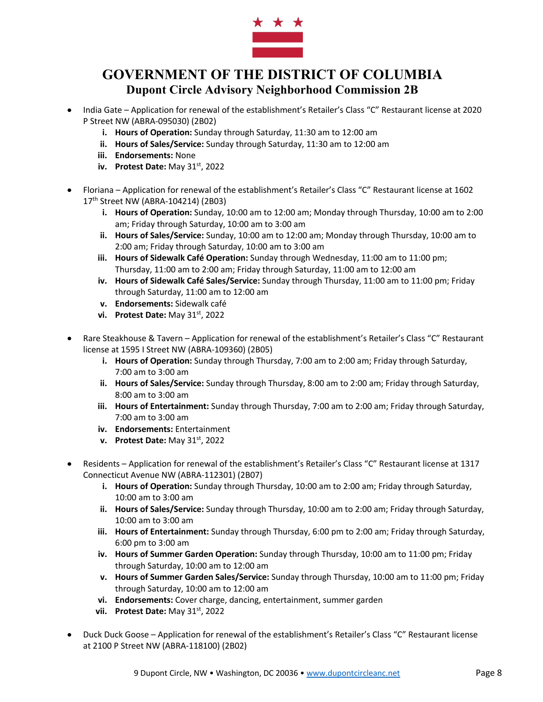

- India Gate Application for renewal of the establishment's Retailer's Class "C" Restaurant license at 2020 P Street NW (ABRA-095030) (2B02)
	- **i. Hours of Operation:** Sunday through Saturday, 11:30 am to 12:00 am
	- **ii. Hours of Sales/Service:** Sunday through Saturday, 11:30 am to 12:00 am
	- **iii. Endorsements:** None
	- **iv. Protest Date:** May 31<sup>st</sup>, 2022
- Floriana Application for renewal of the establishment's Retailer's Class "C" Restaurant license at 1602 17th Street NW (ABRA-104214) (2B03)
	- **i. Hours of Operation:** Sunday, 10:00 am to 12:00 am; Monday through Thursday, 10:00 am to 2:00 am; Friday through Saturday, 10:00 am to 3:00 am
	- **ii. Hours of Sales/Service:** Sunday, 10:00 am to 12:00 am; Monday through Thursday, 10:00 am to 2:00 am; Friday through Saturday, 10:00 am to 3:00 am
	- **iii. Hours of Sidewalk Café Operation:** Sunday through Wednesday, 11:00 am to 11:00 pm; Thursday, 11:00 am to 2:00 am; Friday through Saturday, 11:00 am to 12:00 am
	- **iv. Hours of Sidewalk Café Sales/Service:** Sunday through Thursday, 11:00 am to 11:00 pm; Friday through Saturday, 11:00 am to 12:00 am
	- **v. Endorsements:** Sidewalk café
	- **vi. Protest Date:** May 31st, 2022
- Rare Steakhouse & Tavern Application for renewal of the establishment's Retailer's Class "C" Restaurant license at 1595 I Street NW (ABRA-109360) (2B05)
	- **i. Hours of Operation:** Sunday through Thursday, 7:00 am to 2:00 am; Friday through Saturday, 7:00 am to 3:00 am
	- **ii. Hours of Sales/Service:** Sunday through Thursday, 8:00 am to 2:00 am; Friday through Saturday, 8:00 am to 3:00 am
	- **iii. Hours of Entertainment:** Sunday through Thursday, 7:00 am to 2:00 am; Friday through Saturday, 7:00 am to 3:00 am
	- **iv. Endorsements:** Entertainment
	- **v. Protest Date:** May 31<sup>st</sup>, 2022
- Residents Application for renewal of the establishment's Retailer's Class "C" Restaurant license at 1317 Connecticut Avenue NW (ABRA-112301) (2B07)
	- **i. Hours of Operation:** Sunday through Thursday, 10:00 am to 2:00 am; Friday through Saturday, 10:00 am to 3:00 am
	- **ii. Hours of Sales/Service:** Sunday through Thursday, 10:00 am to 2:00 am; Friday through Saturday, 10:00 am to 3:00 am
	- **iii. Hours of Entertainment:** Sunday through Thursday, 6:00 pm to 2:00 am; Friday through Saturday, 6:00 pm to 3:00 am
	- **iv. Hours of Summer Garden Operation:** Sunday through Thursday, 10:00 am to 11:00 pm; Friday through Saturday, 10:00 am to 12:00 am
	- **v. Hours of Summer Garden Sales/Service:** Sunday through Thursday, 10:00 am to 11:00 pm; Friday through Saturday, 10:00 am to 12:00 am
	- **vi. Endorsements:** Cover charge, dancing, entertainment, summer garden
	- vii. **Protest Date:** May 31<sup>st</sup>, 2022
- Duck Duck Goose Application for renewal of the establishment's Retailer's Class "C" Restaurant license at 2100 P Street NW (ABRA-118100) (2B02)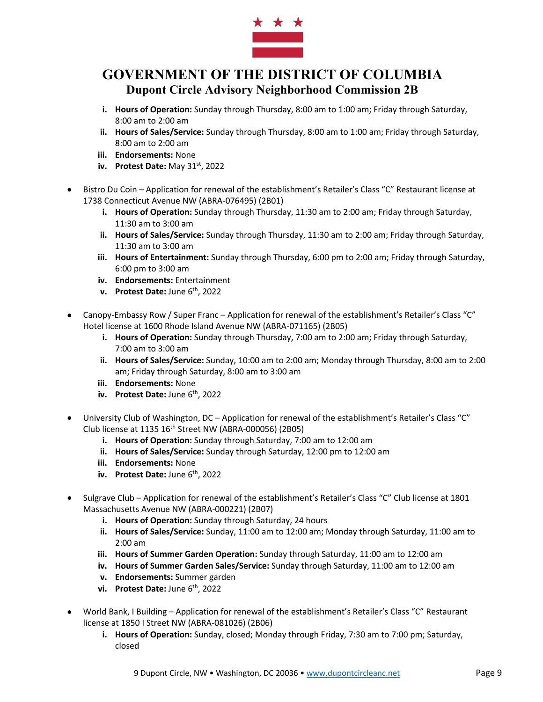

- **i. Hours of Operation:** Sunday through Thursday, 8:00 am to 1:00 am; Friday through Saturday, 8:00 am to 2:00 am
- **ii. Hours of Sales/Service:** Sunday through Thursday, 8:00 am to 1:00 am; Friday through Saturday, 8:00 am to 2:00 am
- **iii. Endorsements:** None
- **iv. Protest Date:** May 31<sup>st</sup>, 2022
- Bistro Du Coin Application for renewal of the establishment's Retailer's Class "C" Restaurant license at 1738 Connecticut Avenue NW (ABRA-076495) (2B01)
	- **i. Hours of Operation:** Sunday through Thursday, 11:30 am to 2:00 am; Friday through Saturday, 11:30 am to 3:00 am
	- **ii. Hours of Sales/Service:** Sunday through Thursday, 11:30 am to 2:00 am; Friday through Saturday, 11:30 am to 3:00 am
	- **iii. Hours of Entertainment:** Sunday through Thursday, 6:00 pm to 2:00 am; Friday through Saturday, 6:00 pm to 3:00 am
	- **iv. Endorsements:** Entertainment
	- **v. Protest Date:** June 6th, 2022
- Canopy-Embassy Row / Super Franc Application for renewal of the establishment's Retailer's Class "C" Hotel license at 1600 Rhode Island Avenue NW (ABRA-071165) (2B05)
	- **i. Hours of Operation:** Sunday through Thursday, 7:00 am to 2:00 am; Friday through Saturday, 7:00 am to 3:00 am
	- **ii. Hours of Sales/Service:** Sunday, 10:00 am to 2:00 am; Monday through Thursday, 8:00 am to 2:00 am; Friday through Saturday, 8:00 am to 3:00 am
	- **iii. Endorsements:** None
	- **iv.** Protest Date: June 6<sup>th</sup>, 2022
- University Club of Washington, DC Application for renewal of the establishment's Retailer's Class "C" Club license at 1135 16th Street NW (ABRA-000056) (2B05)
	- **i. Hours of Operation:** Sunday through Saturday, 7:00 am to 12:00 am
	- **ii. Hours of Sales/Service:** Sunday through Saturday, 12:00 pm to 12:00 am
	- **iii. Endorsements:** None
	- **iv. Protest Date:** June 6<sup>th</sup>, 2022
- Sulgrave Club Application for renewal of the establishment's Retailer's Class "C" Club license at 1801 Massachusetts Avenue NW (ABRA-000221) (2B07)
	- **i. Hours of Operation:** Sunday through Saturday, 24 hours
	- **ii. Hours of Sales/Service:** Sunday, 11:00 am to 12:00 am; Monday through Saturday, 11:00 am to 2:00 am
	- **iii. Hours of Summer Garden Operation:** Sunday through Saturday, 11:00 am to 12:00 am
	- **iv. Hours of Summer Garden Sales/Service:** Sunday through Saturday, 11:00 am to 12:00 am
	- **v. Endorsements:** Summer garden
	- **vi.** Protest Date: June 6<sup>th</sup>, 2022
- World Bank, I Building Application for renewal of the establishment's Retailer's Class "C" Restaurant license at 1850 I Street NW (ABRA-081026) (2B06)
	- **i. Hours of Operation:** Sunday, closed; Monday through Friday, 7:30 am to 7:00 pm; Saturday, closed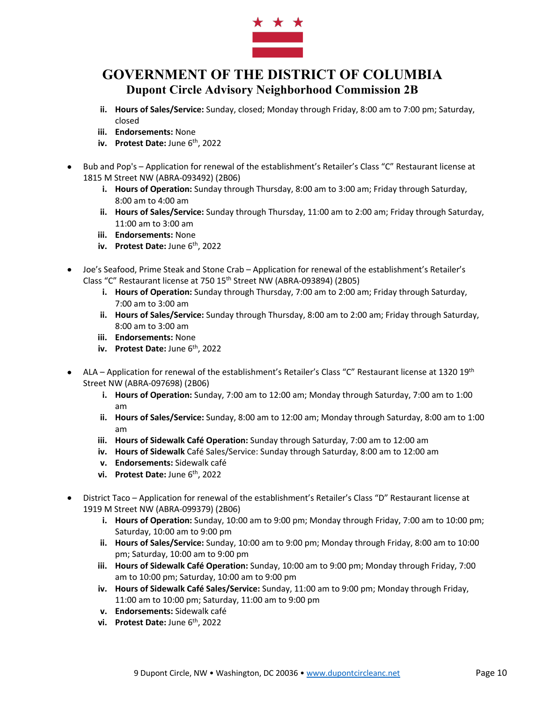

- **ii. Hours of Sales/Service:** Sunday, closed; Monday through Friday, 8:00 am to 7:00 pm; Saturday, closed
- **iii. Endorsements:** None
- **iv. Protest Date:** June 6<sup>th</sup>, 2022
- Bub and Pop's Application for renewal of the establishment's Retailer's Class "C" Restaurant license at 1815 M Street NW (ABRA-093492) (2B06)
	- **i. Hours of Operation:** Sunday through Thursday, 8:00 am to 3:00 am; Friday through Saturday, 8:00 am to 4:00 am
	- **ii. Hours of Sales/Service:** Sunday through Thursday, 11:00 am to 2:00 am; Friday through Saturday, 11:00 am to 3:00 am
	- **iii. Endorsements:** None
	- **iv.** Protest Date: June 6<sup>th</sup>, 2022
- Joe's Seafood, Prime Steak and Stone Crab Application for renewal of the establishment's Retailer's Class "C" Restaurant license at 750 15<sup>th</sup> Street NW (ABRA-093894) (2B05)
	- **i. Hours of Operation:** Sunday through Thursday, 7:00 am to 2:00 am; Friday through Saturday, 7:00 am to 3:00 am
	- **ii. Hours of Sales/Service:** Sunday through Thursday, 8:00 am to 2:00 am; Friday through Saturday, 8:00 am to 3:00 am
	- **iii. Endorsements:** None
	- **iv. Protest Date:** June 6<sup>th</sup>, 2022
- ALA Application for renewal of the establishment's Retailer's Class "C" Restaurant license at 1320 19<sup>th</sup> Street NW (ABRA-097698) (2B06)
	- **i. Hours of Operation:** Sunday, 7:00 am to 12:00 am; Monday through Saturday, 7:00 am to 1:00 am
	- **ii. Hours of Sales/Service:** Sunday, 8:00 am to 12:00 am; Monday through Saturday, 8:00 am to 1:00 am
	- **iii. Hours of Sidewalk Café Operation:** Sunday through Saturday, 7:00 am to 12:00 am
	- **iv. Hours of Sidewalk** Café Sales/Service: Sunday through Saturday, 8:00 am to 12:00 am
	- **v. Endorsements:** Sidewalk café
	- **vi. Protest Date:** June 6th, 2022
- District Taco Application for renewal of the establishment's Retailer's Class "D" Restaurant license at 1919 M Street NW (ABRA-099379) (2B06)
	- **i. Hours of Operation:** Sunday, 10:00 am to 9:00 pm; Monday through Friday, 7:00 am to 10:00 pm; Saturday, 10:00 am to 9:00 pm
	- **ii. Hours of Sales/Service:** Sunday, 10:00 am to 9:00 pm; Monday through Friday, 8:00 am to 10:00 pm; Saturday, 10:00 am to 9:00 pm
	- **iii. Hours of Sidewalk Café Operation:** Sunday, 10:00 am to 9:00 pm; Monday through Friday, 7:00 am to 10:00 pm; Saturday, 10:00 am to 9:00 pm
	- **iv. Hours of Sidewalk Café Sales/Service:** Sunday, 11:00 am to 9:00 pm; Monday through Friday, 11:00 am to 10:00 pm; Saturday, 11:00 am to 9:00 pm
	- **v. Endorsements:** Sidewalk café
	- **vi. Protest Date:** June 6th, 2022